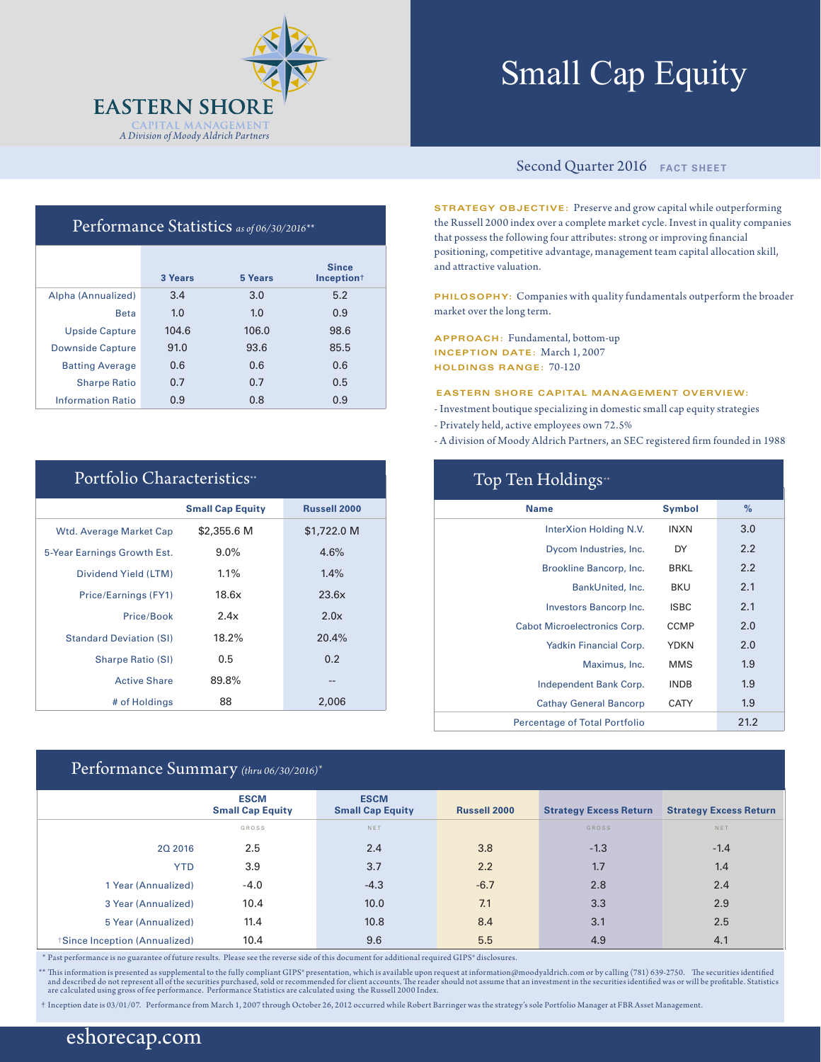

# Small Cap Equity

## Performance Statistics *as of 06/30/2016\*\**

|                          | 3 Years | 5 Years | <b>Since</b><br>Inception <sup>+</sup> |
|--------------------------|---------|---------|----------------------------------------|
| Alpha (Annualized)       | 3.4     | 3.0     | 5.2                                    |
| <b>Beta</b>              | 1.0     | 1.0     | 0.9                                    |
| <b>Upside Capture</b>    | 104.6   | 106.0   | 98.6                                   |
| <b>Downside Capture</b>  | 91.0    | 93.6    | 85.5                                   |
| <b>Batting Average</b>   | 0.6     | 0.6     | 0.6                                    |
| <b>Sharpe Ratio</b>      | 0.7     | 0.7     | 0.5                                    |
| <b>Information Ratio</b> | 0.9     | 0.8     | 0.9                                    |

| Portfolio Characteristics"     |                         |                     |  |  |  |  |
|--------------------------------|-------------------------|---------------------|--|--|--|--|
|                                | <b>Small Cap Equity</b> | <b>Russell 2000</b> |  |  |  |  |
| Wtd. Average Market Cap        | \$2,355.6 M             | \$1,722.0 M         |  |  |  |  |
| 5-Year Earnings Growth Est.    | $9.0\%$                 | 4.6%                |  |  |  |  |
| Dividend Yield (LTM)           | $1.1\%$                 | 1.4%                |  |  |  |  |
| Price/Earnings (FY1)           | 18.6x                   | 23.6x               |  |  |  |  |
| Price/Book                     | 2.4x                    | 2.0x                |  |  |  |  |
| <b>Standard Deviation (SI)</b> | 18.2%                   | 20.4%               |  |  |  |  |
| <b>Sharpe Ratio (SI)</b>       | 0.5                     | 0.2                 |  |  |  |  |
| <b>Active Share</b>            | 89.8%                   | --                  |  |  |  |  |
| # of Holdings                  | 88                      | 2,006               |  |  |  |  |

#### Performance Summary *(thru 06/30/2016)\**

#### Second Quarter 2016 **FACT SHEET**

**STRATEGY OBJECTIVE:** Preserve and grow capital while outperforming the Russell 2000 index over a complete market cycle. Invest in quality companies that possess the following four attributes: strong or improving financial positioning, competitive advantage, management team capital allocation skill, and attractive valuation.

**PHILOSOPHY:** Companies with quality fundamentals outperform the broader market over the long term.

**APPROACH:** Fundamental, bottom-up **INCEPTION DATE:** March 1, 2007 **HOLDINGS RANGE:** 70-120

#### **EASTERN SHORE CAPITAL MANAGEMENT OVERVIEW:**

- Investment boutique specializing in domestic small cap equity strategies
- Privately held, active employees own 72.5%
- A division of Moody Aldrich Partners, an SEC registered firm founded in 1988

| Top Ten Holdings <sup>*</sup>        |               |      |  |  |  |  |
|--------------------------------------|---------------|------|--|--|--|--|
| <b>Name</b>                          | <b>Symbol</b> | $\%$ |  |  |  |  |
| InterXion Holding N.V.               | <b>INXN</b>   | 3.0  |  |  |  |  |
| Dycom Industries, Inc.               | DY            | 2.2  |  |  |  |  |
| Brookline Bancorp, Inc.              | <b>BRKL</b>   | 2.2  |  |  |  |  |
| BankUnited, Inc.                     | <b>BKU</b>    | 2.1  |  |  |  |  |
| Investors Bancorp Inc.               | <b>ISBC</b>   | 2.1  |  |  |  |  |
| <b>Cabot Microelectronics Corp.</b>  | <b>CCMP</b>   | 2.0  |  |  |  |  |
| Yadkin Financial Corp.               | <b>YDKN</b>   | 2.0  |  |  |  |  |
| Maximus, Inc.                        | <b>MMS</b>    | 1.9  |  |  |  |  |
| Independent Bank Corp.               | <b>INDB</b>   | 1.9  |  |  |  |  |
| <b>Cathay General Bancorp</b>        | CATY          | 1.9  |  |  |  |  |
| <b>Percentage of Total Portfolio</b> |               | 21.2 |  |  |  |  |

|                              | <b>ESCM</b><br><b>Small Cap Equity</b> | <b>ESCM</b><br><b>Small Cap Equity</b> | <b>Russell 2000</b> | <b>Strategy Excess Return</b> | <b>Strategy Excess Return</b> |
|------------------------------|----------------------------------------|----------------------------------------|---------------------|-------------------------------|-------------------------------|
|                              | GROSS                                  | NET                                    |                     | <b>GROSS</b>                  | NET                           |
| 20 2016                      | 2.5                                    | 2.4                                    | 3.8                 | $-1.3$                        | $-1.4$                        |
| <b>YTD</b>                   | 3.9                                    | 3.7                                    | 2.2                 | 1.7                           | 1.4                           |
| 1 Year (Annualized)          | $-4.0$                                 | $-4.3$                                 | $-6.7$              | 2.8                           | 2.4                           |
| 3 Year (Annualized)          | 10.4                                   | 10.0                                   | 7.1                 | 3.3                           | 2.9                           |
| 5 Year (Annualized)          | 11.4                                   | 10.8                                   | 8.4                 | 3.1                           | 2.5                           |
| Since Inception (Annualized) | 10.4                                   | 9.6                                    | 5.5                 | 4.9                           | 4.1                           |

\* Past performance is no guarantee of future results. Please see the reverse side of this document for additional required GIPS® disclosures.

\*\* This information is presented as supplemental to the fully compliant GIPS\* presentation, which is available upon request at information@moodyaldrich.com or by calling (781) 639-2750. The securities identified<br>and descri

† Inception date is 03/01/07. Performance from March 1, 2007 through October 26, 2012 occurred while Robert Barringer was the strategy's sole Portfolio Manager at FBR Asset Management.

## eshorecap.com